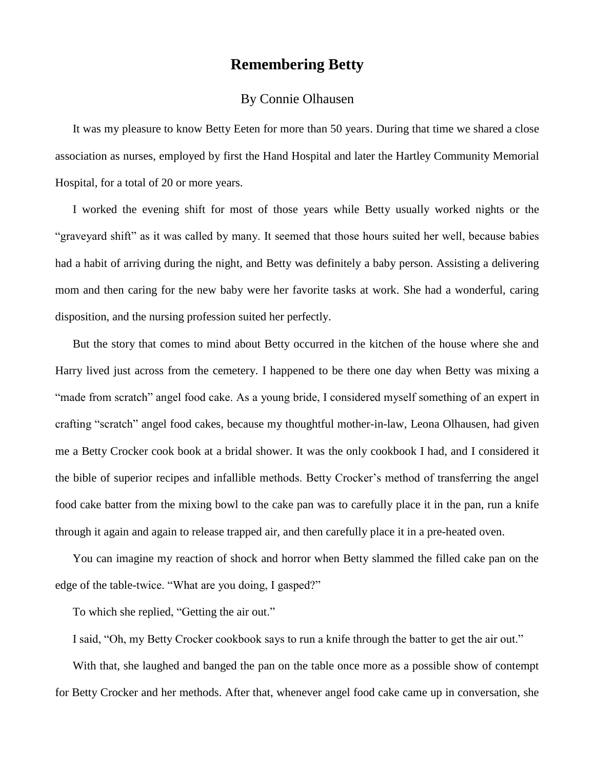## **Remembering Betty**

## By Connie Olhausen

It was my pleasure to know Betty Eeten for more than 50 years. During that time we shared a close association as nurses, employed by first the Hand Hospital and later the Hartley Community Memorial Hospital, for a total of 20 or more years.

I worked the evening shift for most of those years while Betty usually worked nights or the "graveyard shift" as it was called by many. It seemed that those hours suited her well, because babies had a habit of arriving during the night, and Betty was definitely a baby person. Assisting a delivering mom and then caring for the new baby were her favorite tasks at work. She had a wonderful, caring disposition, and the nursing profession suited her perfectly.

But the story that comes to mind about Betty occurred in the kitchen of the house where she and Harry lived just across from the cemetery. I happened to be there one day when Betty was mixing a "made from scratch" angel food cake. As a young bride, I considered myself something of an expert in crafting "scratch" angel food cakes, because my thoughtful mother-in-law, Leona Olhausen, had given me a Betty Crocker cook book at a bridal shower. It was the only cookbook I had, and I considered it the bible of superior recipes and infallible methods. Betty Crocker's method of transferring the angel food cake batter from the mixing bowl to the cake pan was to carefully place it in the pan, run a knife through it again and again to release trapped air, and then carefully place it in a pre-heated oven.

You can imagine my reaction of shock and horror when Betty slammed the filled cake pan on the edge of the table-twice. "What are you doing, I gasped?"

To which she replied, "Getting the air out."

I said, "Oh, my Betty Crocker cookbook says to run a knife through the batter to get the air out."

With that, she laughed and banged the pan on the table once more as a possible show of contempt for Betty Crocker and her methods. After that, whenever angel food cake came up in conversation, she